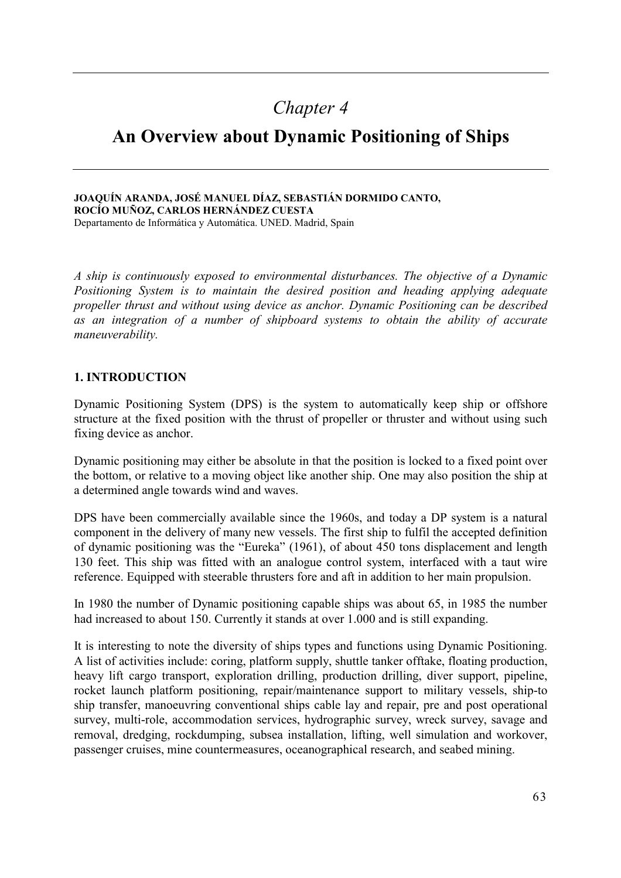# *Chapter 4*

# **An Overview about Dynamic Positioning of Ships**

**JOAQUÍN ARANDA, JOSÉ MANUEL DÍAZ, SEBASTIÁN DORMIDO CANTO, ROCÍO MUÑOZ, CARLOS HERNÁNDEZ CUESTA**  Departamento de Informática y Automática. UNED. Madrid, Spain

*A ship is continuously exposed to environmental disturbances. The objective of a Dynamic Positioning System is to maintain the desired position and heading applying adequate propeller thrust and without using device as anchor. Dynamic Positioning can be described as an integration of a number of shipboard systems to obtain the ability of accurate maneuverability.* 

# **1. INTRODUCTION**

Dynamic Positioning System (DPS) is the system to automatically keep ship or offshore structure at the fixed position with the thrust of propeller or thruster and without using such fixing device as anchor.

Dynamic positioning may either be absolute in that the position is locked to a fixed point over the bottom, or relative to a moving object like another ship. One may also position the ship at a determined angle towards wind and waves.

DPS have been commercially available since the 1960s, and today a DP system is a natural component in the delivery of many new vessels. The first ship to fulfil the accepted definition of dynamic positioning was the "Eureka" (1961), of about 450 tons displacement and length 130 feet. This ship was fitted with an analogue control system, interfaced with a taut wire reference. Equipped with steerable thrusters fore and aft in addition to her main propulsion.

In 1980 the number of Dynamic positioning capable ships was about 65, in 1985 the number had increased to about 150. Currently it stands at over 1.000 and is still expanding.

It is interesting to note the diversity of ships types and functions using Dynamic Positioning. A list of activities include: coring, platform supply, shuttle tanker offtake, floating production, heavy lift cargo transport, exploration drilling, production drilling, diver support, pipeline, rocket launch platform positioning, repair/maintenance support to military vessels, ship-to ship transfer, manoeuvring conventional ships cable lay and repair, pre and post operational survey, multi-role, accommodation services, hydrographic survey, wreck survey, savage and removal, dredging, rockdumping, subsea installation, lifting, well simulation and workover, passenger cruises, mine countermeasures, oceanographical research, and seabed mining.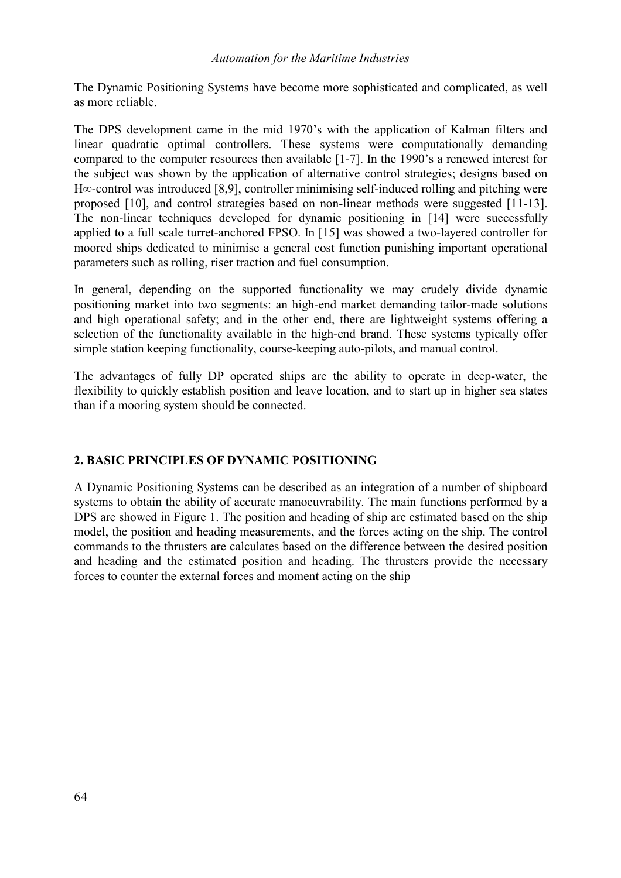The Dynamic Positioning Systems have become more sophisticated and complicated, as well as more reliable.

The DPS development came in the mid 1970's with the application of Kalman filters and linear quadratic optimal controllers. These systems were computationally demanding compared to the computer resources then available [1-7]. In the 1990's a renewed interest for the subject was shown by the application of alternative control strategies; designs based on H∞-control was introduced [8,9], controller minimising self-induced rolling and pitching were proposed [10], and control strategies based on non-linear methods were suggested [11-13]. The non-linear techniques developed for dynamic positioning in [14] were successfully applied to a full scale turret-anchored FPSO. In [15] was showed a two-layered controller for moored ships dedicated to minimise a general cost function punishing important operational parameters such as rolling, riser traction and fuel consumption.

In general, depending on the supported functionality we may crudely divide dynamic positioning market into two segments: an high-end market demanding tailor-made solutions and high operational safety; and in the other end, there are lightweight systems offering a selection of the functionality available in the high-end brand. These systems typically offer simple station keeping functionality, course-keeping auto-pilots, and manual control.

The advantages of fully DP operated ships are the ability to operate in deep-water, the flexibility to quickly establish position and leave location, and to start up in higher sea states than if a mooring system should be connected.

# **2. BASIC PRINCIPLES OF DYNAMIC POSITIONING**

A Dynamic Positioning Systems can be described as an integration of a number of shipboard systems to obtain the ability of accurate manoeuvrability. The main functions performed by a DPS are showed in Figure 1. The position and heading of ship are estimated based on the ship model, the position and heading measurements, and the forces acting on the ship. The control commands to the thrusters are calculates based on the difference between the desired position and heading and the estimated position and heading. The thrusters provide the necessary forces to counter the external forces and moment acting on the ship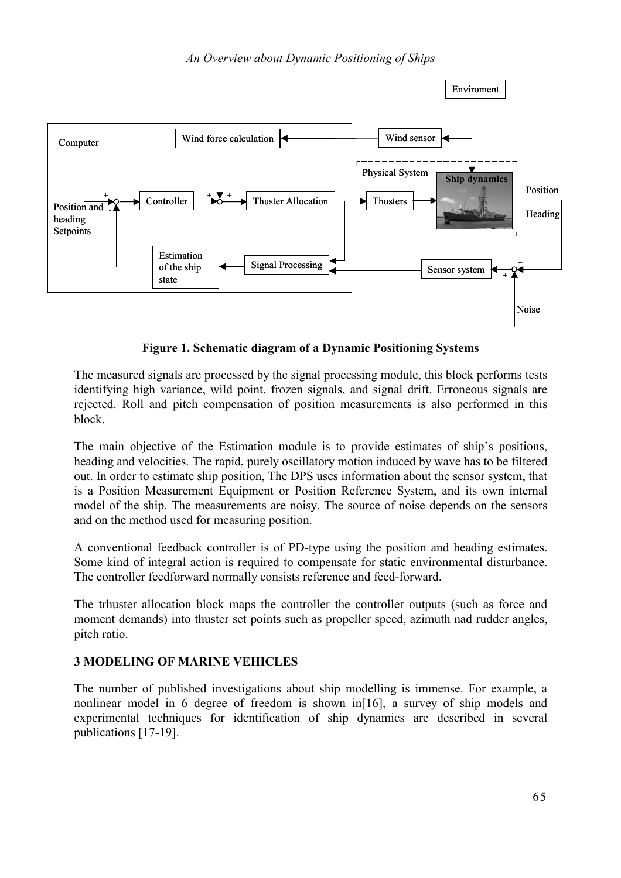

**Figure 1. Schematic diagram of a Dynamic Positioning Systems** 

The measured signals are processed by the signal processing module, this block performs tests identifying high variance, wild point, frozen signals, and signal drift. Erroneous signals are rejected. Roll and pitch compensation of position measurements is also performed in this block.

The main objective of the Estimation module is to provide estimates of ship's positions, heading and velocities. The rapid, purely oscillatory motion induced by wave has to be filtered out. In order to estimate ship position, The DPS uses information about the sensor system, that is a Position Measurement Equipment or Position Reference System, and its own internal model of the ship. The measurements are noisy. The source of noise depends on the sensors and on the method used for measuring position.

A conventional feedback controller is of PD-type using the position and heading estimates. Some kind of integral action is required to compensate for static environmental disturbance. The controller feedforward normally consists reference and feed-forward.

The trhuster allocation block maps the controller the controller outputs (such as force and moment demands) into thuster set points such as propeller speed, azimuth nad rudder angles, pitch ratio.

# **3 MODELING OF MARINE VEHICLES**

The number of published investigations about ship modelling is immense. For example, a nonlinear model in 6 degree of freedom is shown in[16], a survey of ship models and experimental techniques for identification of ship dynamics are described in several publications [17-19].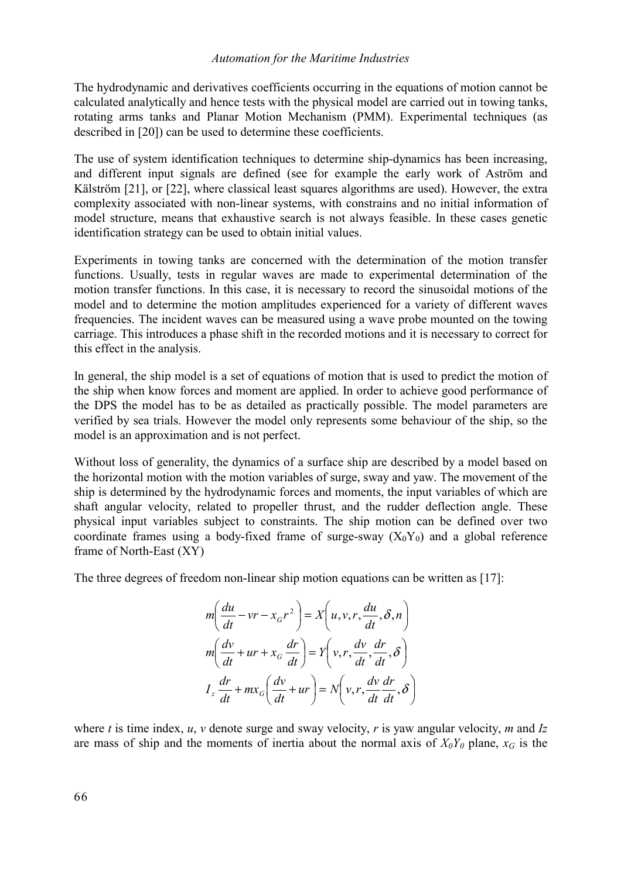#### *Automation for the Maritime Industries*

The hydrodynamic and derivatives coefficients occurring in the equations of motion cannot be calculated analytically and hence tests with the physical model are carried out in towing tanks, rotating arms tanks and Planar Motion Mechanism (PMM). Experimental techniques (as described in [20]) can be used to determine these coefficients.

The use of system identification techniques to determine ship-dynamics has been increasing, and different input signals are defined (see for example the early work of Aström and Kälström [21], or [22], where classical least squares algorithms are used). However, the extra complexity associated with non-linear systems, with constrains and no initial information of model structure, means that exhaustive search is not always feasible. In these cases genetic identification strategy can be used to obtain initial values.

Experiments in towing tanks are concerned with the determination of the motion transfer functions. Usually, tests in regular waves are made to experimental determination of the motion transfer functions. In this case, it is necessary to record the sinusoidal motions of the model and to determine the motion amplitudes experienced for a variety of different waves frequencies. The incident waves can be measured using a wave probe mounted on the towing carriage. This introduces a phase shift in the recorded motions and it is necessary to correct for this effect in the analysis.

In general, the ship model is a set of equations of motion that is used to predict the motion of the ship when know forces and moment are applied. In order to achieve good performance of the DPS the model has to be as detailed as practically possible. The model parameters are verified by sea trials. However the model only represents some behaviour of the ship, so the model is an approximation and is not perfect.

Without loss of generality, the dynamics of a surface ship are described by a model based on the horizontal motion with the motion variables of surge, sway and yaw. The movement of the ship is determined by the hydrodynamic forces and moments, the input variables of which are shaft angular velocity, related to propeller thrust, and the rudder deflection angle. These physical input variables subject to constraints. The ship motion can be defined over two coordinate frames using a body-fixed frame of surge-sway  $(X_0Y_0)$  and a global reference frame of North-East (XY)

The three degrees of freedom non-linear ship motion equations can be written as [17]:

$$
m\left(\frac{du}{dt} - vr - x_{G}r^{2}\right) = X\left(u, v, r, \frac{du}{dt}, \delta, n\right)
$$

$$
m\left(\frac{dv}{dt} + ur + x_{G}\frac{dr}{dt}\right) = Y\left(v, r, \frac{dv}{dt}, \frac{dr}{dt}, \delta\right)
$$

$$
I_{z}\frac{dr}{dt} + mx_{G}\left(\frac{dv}{dt} + ur\right) = N\left(v, r, \frac{dv}{dt}\frac{dr}{dt}, \delta\right)
$$

where *t* is time index, *u*, *v* denote surge and sway velocity, *r* is yaw angular velocity, *m* and *Iz* are mass of ship and the moments of inertia about the normal axis of  $X_0Y_0$  plane,  $x_G$  is the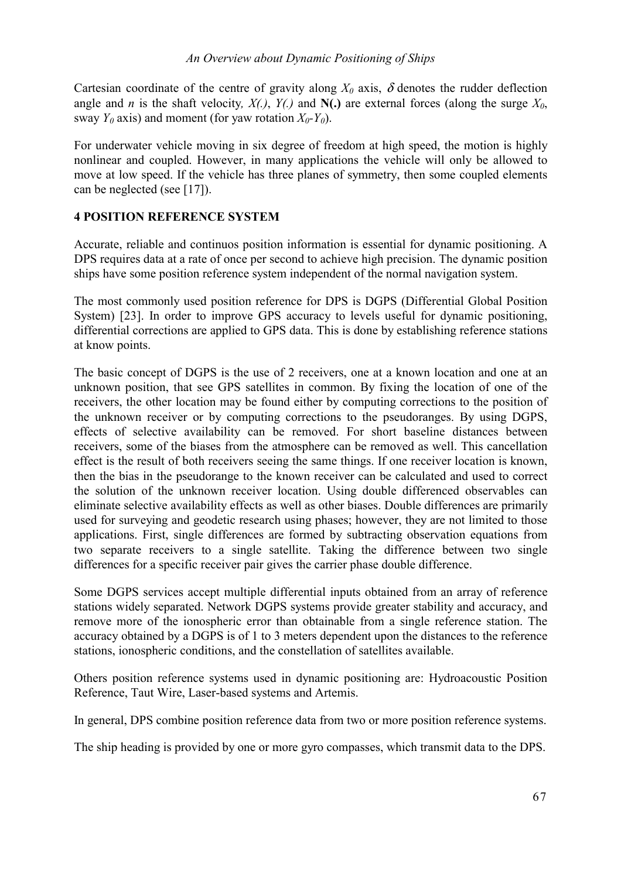Cartesian coordinate of the centre of gravity along  $X_0$  axis,  $\delta$  denotes the rudder deflection angle and *n* is the shaft velocity,  $X(.)$ ,  $Y(.)$  and  $N(.)$  are external forces (along the surge  $X_0$ , sway  $Y_0$  axis) and moment (for yaw rotation  $X_0 - Y_0$ ).

For underwater vehicle moving in six degree of freedom at high speed, the motion is highly nonlinear and coupled. However, in many applications the vehicle will only be allowed to move at low speed. If the vehicle has three planes of symmetry, then some coupled elements can be neglected (see [17]).

#### **4 POSITION REFERENCE SYSTEM**

Accurate, reliable and continuos position information is essential for dynamic positioning. A DPS requires data at a rate of once per second to achieve high precision. The dynamic position ships have some position reference system independent of the normal navigation system.

The most commonly used position reference for DPS is DGPS (Differential Global Position System) [23]. In order to improve GPS accuracy to levels useful for dynamic positioning, differential corrections are applied to GPS data. This is done by establishing reference stations at know points.

The basic concept of DGPS is the use of 2 receivers, one at a known location and one at an unknown position, that see GPS satellites in common. By fixing the location of one of the receivers, the other location may be found either by computing corrections to the position of the unknown receiver or by computing corrections to the pseudoranges. By using DGPS, effects of selective availability can be removed. For short baseline distances between receivers, some of the biases from the atmosphere can be removed as well. This cancellation effect is the result of both receivers seeing the same things. If one receiver location is known, then the bias in the pseudorange to the known receiver can be calculated and used to correct the solution of the unknown receiver location. Using double differenced observables can eliminate selective availability effects as well as other biases. Double differences are primarily used for surveying and geodetic research using phases; however, they are not limited to those applications. First, single differences are formed by subtracting observation equations from two separate receivers to a single satellite. Taking the difference between two single differences for a specific receiver pair gives the carrier phase double difference.

Some DGPS services accept multiple differential inputs obtained from an array of reference stations widely separated. Network DGPS systems provide greater stability and accuracy, and remove more of the ionospheric error than obtainable from a single reference station. The accuracy obtained by a DGPS is of 1 to 3 meters dependent upon the distances to the reference stations, ionospheric conditions, and the constellation of satellites available.

Others position reference systems used in dynamic positioning are: Hydroacoustic Position Reference, Taut Wire, Laser-based systems and Artemis.

In general, DPS combine position reference data from two or more position reference systems.

The ship heading is provided by one or more gyro compasses, which transmit data to the DPS.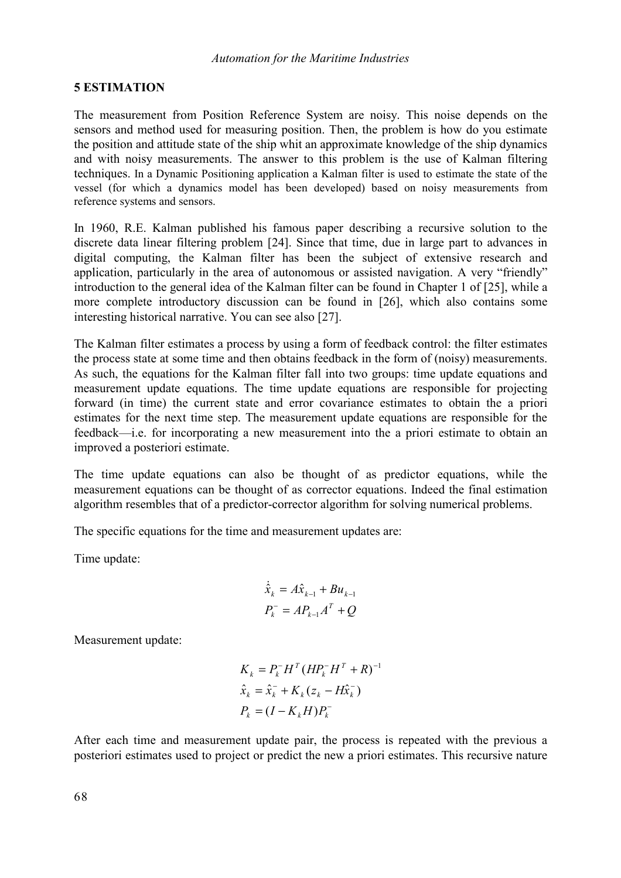# **5 ESTIMATION**

The measurement from Position Reference System are noisy. This noise depends on the sensors and method used for measuring position. Then, the problem is how do you estimate the position and attitude state of the ship whit an approximate knowledge of the ship dynamics and with noisy measurements. The answer to this problem is the use of Kalman filtering techniques. In a Dynamic Positioning application a Kalman filter is used to estimate the state of the vessel (for which a dynamics model has been developed) based on noisy measurements from reference systems and sensors.

In 1960, R.E. Kalman published his famous paper describing a recursive solution to the discrete data linear filtering problem [24]. Since that time, due in large part to advances in digital computing, the Kalman filter has been the subject of extensive research and application, particularly in the area of autonomous or assisted navigation. A very "friendly" introduction to the general idea of the Kalman filter can be found in Chapter 1 of [25], while a more complete introductory discussion can be found in [26], which also contains some interesting historical narrative. You can see also [27].

The Kalman filter estimates a process by using a form of feedback control: the filter estimates the process state at some time and then obtains feedback in the form of (noisy) measurements. As such, the equations for the Kalman filter fall into two groups: time update equations and measurement update equations. The time update equations are responsible for projecting forward (in time) the current state and error covariance estimates to obtain the a priori estimates for the next time step. The measurement update equations are responsible for the feedback—i.e. for incorporating a new measurement into the a priori estimate to obtain an improved a posteriori estimate.

The time update equations can also be thought of as predictor equations, while the measurement equations can be thought of as corrector equations. Indeed the final estimation algorithm resembles that of a predictor-corrector algorithm for solving numerical problems.

The specific equations for the time and measurement updates are:

Time update:

$$
\dot{\hat{x}}_k = A\hat{x}_{k-1} + Bu_{k-1}
$$

$$
P_k^- = AP_{k-1}A^T + Q
$$

Measurement update:

$$
K_{k} = P_{k}^{-} H^{T} (H P_{k}^{-} H^{T} + R)^{-1}
$$

$$
\hat{x}_{k} = \hat{x}_{k}^{-} + K_{k} (z_{k} - H \hat{x}_{k}^{-})
$$

$$
P_{k} = (I - K_{k} H) P_{k}^{-}
$$

After each time and measurement update pair, the process is repeated with the previous a posteriori estimates used to project or predict the new a priori estimates. This recursive nature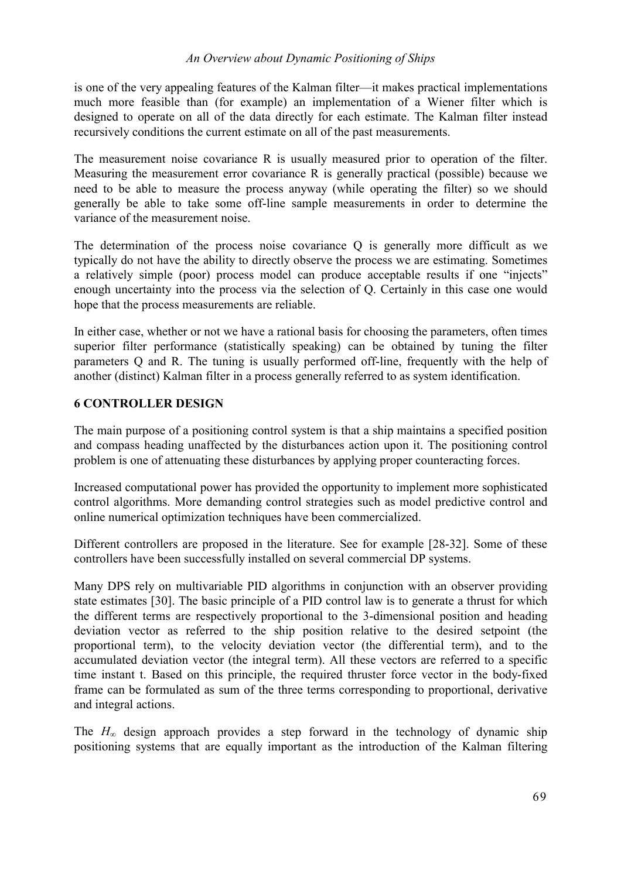#### *An Overview about Dynamic Positioning of Ships*

is one of the very appealing features of the Kalman filter—it makes practical implementations much more feasible than (for example) an implementation of a Wiener filter which is designed to operate on all of the data directly for each estimate. The Kalman filter instead recursively conditions the current estimate on all of the past measurements.

The measurement noise covariance R is usually measured prior to operation of the filter. Measuring the measurement error covariance R is generally practical (possible) because we need to be able to measure the process anyway (while operating the filter) so we should generally be able to take some off-line sample measurements in order to determine the variance of the measurement noise.

The determination of the process noise covariance Q is generally more difficult as we typically do not have the ability to directly observe the process we are estimating. Sometimes a relatively simple (poor) process model can produce acceptable results if one "injects" enough uncertainty into the process via the selection of Q. Certainly in this case one would hope that the process measurements are reliable.

In either case, whether or not we have a rational basis for choosing the parameters, often times superior filter performance (statistically speaking) can be obtained by tuning the filter parameters Q and R. The tuning is usually performed off-line, frequently with the help of another (distinct) Kalman filter in a process generally referred to as system identification.

# **6 CONTROLLER DESIGN**

The main purpose of a positioning control system is that a ship maintains a specified position and compass heading unaffected by the disturbances action upon it. The positioning control problem is one of attenuating these disturbances by applying proper counteracting forces.

Increased computational power has provided the opportunity to implement more sophisticated control algorithms. More demanding control strategies such as model predictive control and online numerical optimization techniques have been commercialized.

Different controllers are proposed in the literature. See for example [28-32]. Some of these controllers have been successfully installed on several commercial DP systems.

Many DPS rely on multivariable PID algorithms in conjunction with an observer providing state estimates [30]. The basic principle of a PID control law is to generate a thrust for which the different terms are respectively proportional to the 3-dimensional position and heading deviation vector as referred to the ship position relative to the desired setpoint (the proportional term), to the velocity deviation vector (the differential term), and to the accumulated deviation vector (the integral term). All these vectors are referred to a specific time instant t. Based on this principle, the required thruster force vector in the body-fixed frame can be formulated as sum of the three terms corresponding to proportional, derivative and integral actions.

The  $H_{\infty}$  design approach provides a step forward in the technology of dynamic ship positioning systems that are equally important as the introduction of the Kalman filtering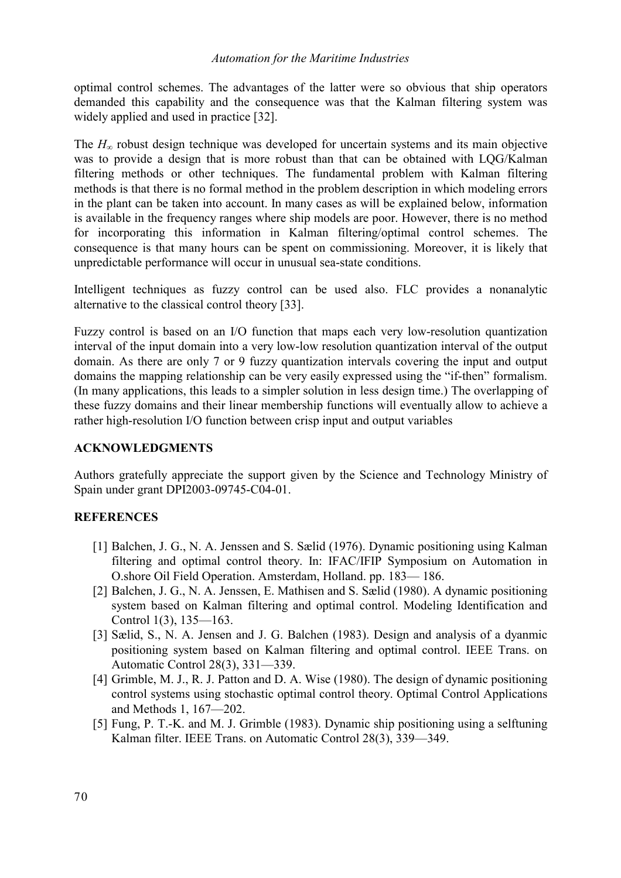optimal control schemes. The advantages of the latter were so obvious that ship operators demanded this capability and the consequence was that the Kalman filtering system was widely applied and used in practice [32].

The  $H_{\infty}$  robust design technique was developed for uncertain systems and its main objective was to provide a design that is more robust than that can be obtained with LQG/Kalman filtering methods or other techniques. The fundamental problem with Kalman filtering methods is that there is no formal method in the problem description in which modeling errors in the plant can be taken into account. In many cases as will be explained below, information is available in the frequency ranges where ship models are poor. However, there is no method for incorporating this information in Kalman filtering/optimal control schemes. The consequence is that many hours can be spent on commissioning. Moreover, it is likely that unpredictable performance will occur in unusual sea-state conditions.

Intelligent techniques as fuzzy control can be used also. FLC provides a nonanalytic alternative to the classical control theory [33].

Fuzzy control is based on an I/O function that maps each very low-resolution quantization interval of the input domain into a very low-low resolution quantization interval of the output domain. As there are only 7 or 9 fuzzy quantization intervals covering the input and output domains the mapping relationship can be very easily expressed using the "if-then" formalism. (In many applications, this leads to a simpler solution in less design time.) The overlapping of these fuzzy domains and their linear membership functions will eventually allow to achieve a rather high-resolution I/O function between crisp input and output variables

# **ACKNOWLEDGMENTS**

Authors gratefully appreciate the support given by the Science and Technology Ministry of Spain under grant DPI2003-09745-C04-01.

# **REFERENCES**

- [1] Balchen, J. G., N. A. Jenssen and S. Sælid (1976). Dynamic positioning using Kalman filtering and optimal control theory. In: IFAC/IFIP Symposium on Automation in O.shore Oil Field Operation. Amsterdam, Holland. pp. 183— 186.
- [2] Balchen, J. G., N. A. Jenssen, E. Mathisen and S. Sælid (1980). A dynamic positioning system based on Kalman filtering and optimal control. Modeling Identification and Control 1(3), 135—163.
- [3] Sælid, S., N. A. Jensen and J. G. Balchen (1983). Design and analysis of a dyanmic positioning system based on Kalman filtering and optimal control. IEEE Trans. on Automatic Control 28(3), 331—339.
- [4] Grimble, M. J., R. J. Patton and D. A. Wise (1980). The design of dynamic positioning control systems using stochastic optimal control theory. Optimal Control Applications and Methods 1, 167—202.
- [5] Fung, P. T.-K. and M. J. Grimble (1983). Dynamic ship positioning using a selftuning Kalman filter. IEEE Trans. on Automatic Control 28(3), 339—349.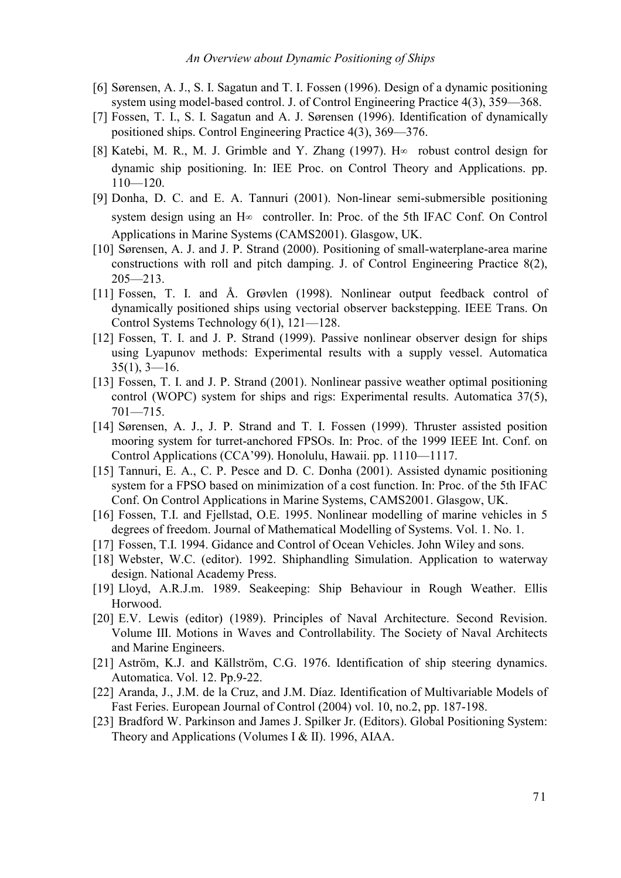- [6] Sørensen, A. J., S. I. Sagatun and T. I. Fossen (1996). Design of a dynamic positioning system using model-based control. J. of Control Engineering Practice 4(3), 359—368.
- [7] Fossen, T. I., S. I. Sagatun and A. J. Sørensen (1996). Identification of dynamically positioned ships. Control Engineering Practice 4(3), 369—376.
- [8] Katebi, M. R., M. J. Grimble and Y. Zhang (1997). H∞ robust control design for dynamic ship positioning. In: IEE Proc. on Control Theory and Applications. pp.  $110 - 120$ .
- [9] Donha, D. C. and E. A. Tannuri (2001). Non-linear semi-submersible positioning system design using an H∞ controller. In: Proc. of the 5th IFAC Conf. On Control Applications in Marine Systems (CAMS2001). Glasgow, UK.
- [10] Sørensen, A. J. and J. P. Strand (2000). Positioning of small-waterplane-area marine constructions with roll and pitch damping. J. of Control Engineering Practice 8(2), 205—213.
- [11] Fossen, T. I. and Å. Grøvlen (1998). Nonlinear output feedback control of dynamically positioned ships using vectorial observer backstepping. IEEE Trans. On Control Systems Technology 6(1), 121—128.
- [12] Fossen, T. I. and J. P. Strand (1999). Passive nonlinear observer design for ships using Lyapunov methods: Experimental results with a supply vessel. Automatica  $35(1)$ ,  $3-16$ .
- [13] Fossen, T. I. and J. P. Strand (2001). Nonlinear passive weather optimal positioning control (WOPC) system for ships and rigs: Experimental results. Automatica 37(5), 701—715.
- [14] Sørensen, A. J., J. P. Strand and T. I. Fossen (1999). Thruster assisted position mooring system for turret-anchored FPSOs. In: Proc. of the 1999 IEEE Int. Conf. on Control Applications (CCA'99). Honolulu, Hawaii. pp. 1110—1117.
- [15] Tannuri, E. A., C. P. Pesce and D. C. Donha (2001). Assisted dynamic positioning system for a FPSO based on minimization of a cost function. In: Proc. of the 5th IFAC Conf. On Control Applications in Marine Systems, CAMS2001. Glasgow, UK.
- [16] Fossen, T.I. and Fjellstad, O.E. 1995. Nonlinear modelling of marine vehicles in 5 degrees of freedom. Journal of Mathematical Modelling of Systems. Vol. 1. No. 1.
- [17] Fossen, T.I. 1994. Gidance and Control of Ocean Vehicles. John Wiley and sons.
- [18] Webster, W.C. (editor). 1992. Shiphandling Simulation. Application to waterway design. National Academy Press.
- [19] Lloyd, A.R.J.m. 1989. Seakeeping: Ship Behaviour in Rough Weather. Ellis Horwood.
- [20] E.V. Lewis (editor) (1989). Principles of Naval Architecture. Second Revision. Volume III. Motions in Waves and Controllability. The Society of Naval Architects and Marine Engineers.
- [21] Aström, K.J. and Källström, C.G. 1976. Identification of ship steering dynamics. Automatica. Vol. 12. Pp.9-22.
- [22] Aranda, J., J.M. de la Cruz, and J.M. Díaz. Identification of Multivariable Models of Fast Feries. European Journal of Control (2004) vol. 10, no.2, pp. 187-198.
- [23] Bradford W. Parkinson and James J. Spilker Jr. (Editors). Global Positioning System: Theory and Applications (Volumes I & II). 1996, AIAA.